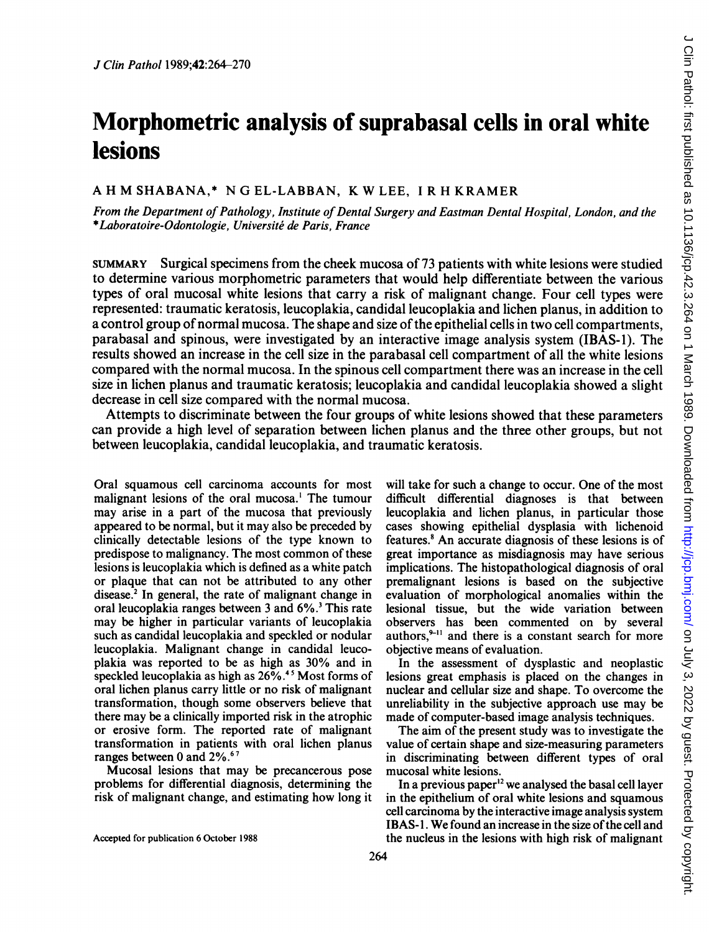# Morphometric analysis of suprabasal cells in oral white lesions

# A H M SHABANA,\* N G EL-LABBAN, K W LEE, <sup>I</sup> R H KRAMER

From the Department of Pathology, Institute of Dental Surgery and Eastman Dental Hospital, London, and the \*Laboratoire-Odontologie, Universite de Paris, France

SUMMARY Surgical specimens from the cheek mucosa of 73 patients with white lesions were studied to determine various morphometric parameters that would help differentiate between the various types of oral mucosal white lesions that carry a risk of malignant change. Four cell types were represented: traumatic keratosis, leucoplakia, candidal leucoplakia and lichen planus, in addition to a control group of normal mucosa. The shape and size of the epithelial cells in two cell compartments, parabasal and spinous, were investigated by an interactive image analysis system (IBAS-1). The results showed an increase in the cell size in the parabasal cell compartment of all the white lesions compared with the normal mucosa. In the spinous cell compartment there was an increase in the cell size in lichen planus and traumatic keratosis; leucoplakia and candidal leucoplakia showed a slight decrease in cell size compared with the normal mucosa.

Attempts to discriminate between the four groups of white lesions showed that these parameters can provide a high level of separation between lichen planus and the three other groups, but not between leucoplakia, candidal leucoplakia, and traumatic keratosis.

Oral squamous cell carcinoma accounts for most malignant lesions of the oral mucosa.' The tumour may arise in a part of the mucosa that previously appeared to be normal, but it may also be preceded by clinically detectable lesions of the type known to predispose to malignancy. The most common of these lesions is leucoplakia which is defined as a white patch or plaque that can not be attributed to any other disease.<sup>2</sup> In general, the rate of malignant change in oral leucoplakia ranges between 3 and 6%.3 This rate may be higher in particular variants of leucoplakia such as candidal leucoplakia and speckled or nodular leucoplakia. Malignant change in candidal leucoplakia was reported to be as high as 30% and in speckled leucoplakia as high as  $26\%$ .<sup>45</sup> Most forms of oral lichen planus carry little or no risk of malignant transformation, though some observers believe that there may be a clinically imported risk in the atrophic or erosive form. The reported rate of malignant transformation in patients with oral lichen planus ranges between 0 and 2%.<sup>67</sup>

Mucosal lesions that may be precancerous pose problems for differential diagnosis, determining the risk of malignant change, and estimating how long it will take for such a change to occur. One of the most difficult differential diagnoses is that between leucoplakia and lichen planus, in particular those cases showing epithelial dysplasia with lichenoid features.8 An accurate diagnosis of these lesions is of great importance as misdiagnosis may have serious implications. The histopathological diagnosis of oral premalignant lesions is based on the subjective evaluation of morphological anomalies within the lesional tissue, but the wide variation between observers has been commented on by several authors, $9-11$  and there is a constant search for more objective means of evaluation.

In the assessment of dysplastic and neoplastic lesions great emphasis is placed on the changes in nuclear and cellular size and shape. To overcome the unreliability in the subjective approach use may be made of computer-based image analysis techniques.

The aim of the present study was to investigate the value of certain shape and size-measuring parameters in discriminating between different types of oral mucosal white lesions.

In a previous paper $12$  we analysed the basal cell layer in the epithelium of oral white lesions and squamous cell carcinoma by the interactive image analysis system IBAS-1. We found an increase in the size of the cell and the nucleus in the lesions with high risk of malignant

Accepted for publication 6 October 1988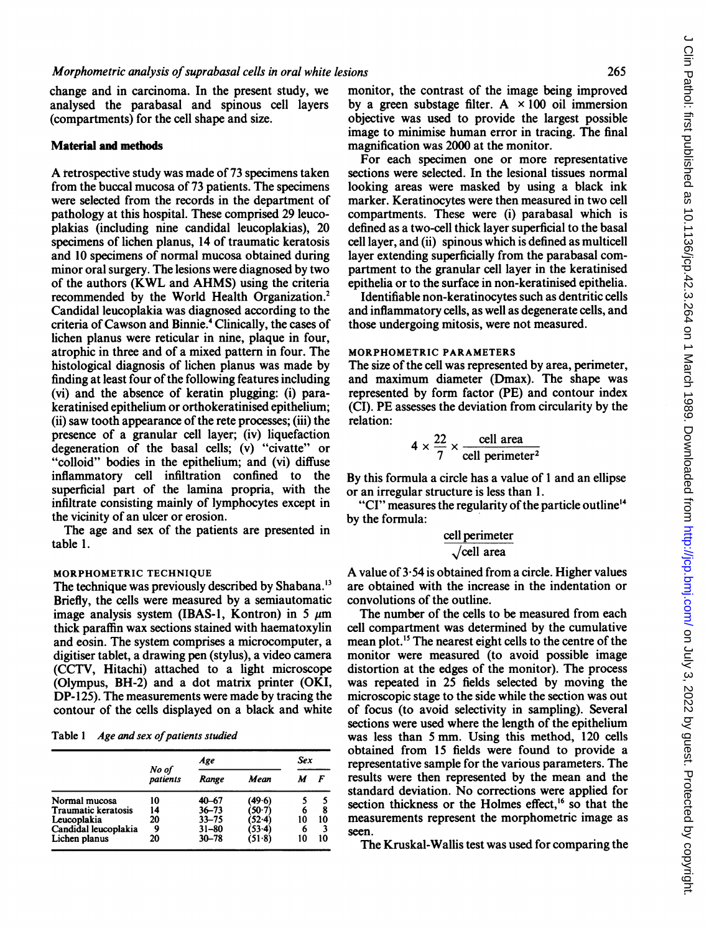change and in carcinoma. In the present study, we analysed the parabasal and spinous cell layers (compartments) for the cell shape and size.

#### Material and methods

A retrospective study was made of <sup>73</sup> specimens taken from the buccal mucosa of 73 patients. The specimens were selected from the records in the department of pathology at this hospital. These comprised 29 leucoplakias (including nine candidal leucoplakias), 20 specimens of lichen planus, 14 of traumatic keratosis and 10 specimens of normal mucosa obtained during minor oral surgery. The lesions were diagnosed by two of the authors (KWL and AHMS) using the criteria recommended by the World Health Organization.2 Candidal leucoplakia was diagnosed according to the criteria of Cawson and Binnie.4 Clinically, the cases of lichen planus were reticular in nine, plaque in four, atrophic in three and of a mixed pattern in four. The histological diagnosis of lichen planus was made by finding at least four of the following features including (vi) and the absence of keratin plugging: (i) parakeratinised epithelium or orthokeratinised epithelium; (ii) saw tooth appearance of the rete processes; (iii) the presence of a granular cell layer; (iv) liquefaction degeneration of the basal cells; (v) "civatte" or "colloid" bodies in the epithelium; and (vi) diffuse inflammatory cell infiltration confined to the superficial part of the lamina propria, with the infiltrate consisting mainly of lymphocytes except in the vicinity of an ulcer or erosion.

The age and sex of the patients are presented in table 1.

#### MORPHOMETRIC TECHNIQUE

The technique was previously described by Shabana.'3 Briefly, the cells were measured by a semiautomatic image analysis system (IBAS-1, Kontron) in 5  $\mu$ m thick paraffin wax sections stained with haematoxylin and eosin. The system comprises a microcomputer, a digitiser tablet, a drawing pen (stylus), a video camera (CCTV, Hitachi) attached to a light microscope (Olympus, BH-2) and a dot matrix printer (OKI, DP-125). The measurements were made by tracing the contour of the cells displayed on a black and white

Table 1 Age and sex of patients studied

|                            |                   | Age       | Sex    |    |    |
|----------------------------|-------------------|-----------|--------|----|----|
|                            | No of<br>patients | Range     | Mean   |    | F  |
| Normal mucosa              | 10                | $40 - 67$ | (49.6) |    |    |
| <b>Traumatic keratosis</b> | 14                | $36 - 73$ | 0∙7)   | 6  | 8  |
| Leucoplakia                | 20                | $33 - 75$ | ة∙52)  | 10 | 10 |
| Candidal leucoplakia       | 9                 | $31 - 80$ | (53-4) | 6  |    |
| Lichen planus              | 20                | $30 - 78$ | (51-8) | 10 | 10 |

monitor, the contrast of the image being improved by a green substage filter. A  $\times$  100 oil immersion objective was used to provide the largest possible image to minimise human error in tracing. The final magnification was 2000 at the monitor.

For each specimen one or more representative sections were selected. In the lesional tissues normal looking areas were masked by using a black ink marker. Keratinocytes were then measured in two cell compartments. These were (i) parabasal which is defined as a two-cell thick layer superficial to the basal cell layer, and (ii) spinous which is defined as multicell layer extending superficially from the parabasal compartment to the granular cell layer in the keratinised epithelia or to the surface in non-keratinised epithelia.

Identifiable non-keratinocytes such as dentritic cells and inflammatory cells, as well as degenerate cells, and those undergoing mitosis, were not measured.

#### MORPHOMETRIC PARAMETERS

The size of the cell was represented by area, perimeter, and maximum diameter (Dmax). The shape was represented by form factor (PE) and contour index (CI). PE assesses the deviation from circularity by the relation:

$$
4 \times \frac{22}{7} \times \frac{\text{cell area}}{\text{cell perimeter}^2}
$$

By this formula a circle has a value of <sup>1</sup> and an ellipse or an irregular structure is less than 1.

"CI" measures the regularity of the particle outline'4 by the formula:

# cell perimeter

## $\sqrt{\text{cell area}}$

A value of  $3.54$  is obtained from a circle. Higher values are obtained with the increase in the indentation or convolutions of the outline.

The number of the cells to be measured from each cell compartment was determined by the cumulative mean plot.<sup>15</sup> The nearest eight cells to the centre of the monitor were measured (to avoid possible image distortion at the edges of the monitor). The process was repeated in 25 fields selected by moving the microscopic stage to the side while the section was out of focus (to avoid selectivity in sampling). Several sections were used where the length of the epithelium was less than <sup>5</sup> mm. Using this method, 120 cells obtained from 15 fields were found to provide a representative sample for the various parameters. The results were then represented by the mean and the standard deviation. No corrections were applied for section thickness or the Holmes effect,<sup>16</sup> so that the measurements represent the morphometric image as seen.

The Kruskal-Wallis test was used for comparing the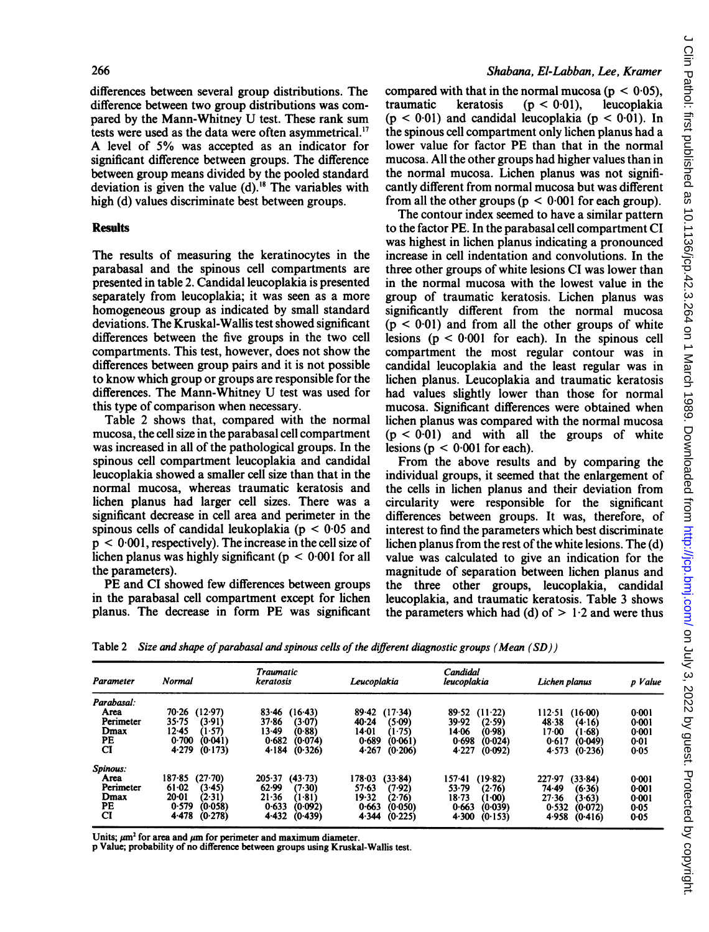differences between several group distributions. The difference between two group distributions was compared by the Mann-Whitney U test. These rank sum tests were used as the data were often asymmetrical.'7 A level of 5% was accepted as an indicator for significant difference between groups. The difference between group means divided by the pooled standard deviation is given the value  $(d)$ .<sup>18</sup> The variables with high (d) values discriminate best between groups.

#### **Results**

The results of measuring the keratinocytes in the parabasal and the spinous cell compartments are presented in table 2. Candidal leucoplakia is presented separately from leucoplakia; it was seen as a more homogeneous group as indicated by small standard deviations. The Kruskal-Wallis test showed significant differences between the five groups in the two cell compartments. This test, however, does not show the differences between group pairs and it is not possible to know which group or groups are responsible for the differences. The Mann-Whitney U test was used for this type of comparison when necessary.

Table 2 shows that, compared with the normal mucosa, the cell size in the parabasal cell compartment was increased in all of the pathological groups. In the spinous cell compartment leucoplakia and candidal leucoplakia showed a smaller cell size than that in the normal mucosa, whereas traumatic keratosis and lichen planus had larger cell sizes. There was a significant decrease in cell area and perimeter in the spinous cells of candidal leukoplakia ( $p < 0.05$  and  $p < 0.001$ , respectively). The increase in the cell size of lichen planus was highly significant ( $p < 0.001$  for all the parameters).

PE and CI showed few differences between groups in the parabasal cell compartment except for lichen planus. The decrease in form PE was significant

# Shabana, El-Labban, Lee, Kramer

compared with that in the normal mucosa  $(p < 0.05)$ ,<br>traumatic keratosis  $(p < 0.01)$ , leucoplakia  $(p < 0.01)$ ,  $(p < 0.01)$  and candidal leucoplakia  $(p < 0.01)$ . In the spinous cell compartment only lichen planus had a lower value for factor PE than that in the normal mucosa. All the other groups had higher values than in the normal mucosa. Lichen planus was not significantly different from normal mucosa but was different from all the other groups ( $p < 0.001$  for each group).

The contour index seemed to have a similar pattern to the factor PE. In the parabasal cell compartment CI was highest in lichen planus indicating a pronounced increase in cell indentation and convolutions. In the three other groups of white lesions CI was lower than in the normal mucosa with the lowest value in the group of traumatic keratosis. Lichen planus was significantly different from the normal mucosa  $(p < 0.01)$  and from all the other groups of white lesions  $(p < 0.001$  for each). In the spinous cell compartment the most regular contour was in candidal leucoplakia and the least regular was in lichen planus. Leucoplakia and traumatic keratosis had values slightly lower than those for normal mucosa. Significant differences were obtained when lichen planus was compared with the normal mucosa  $(p < 0.01)$  and with all the groups of white lesions ( $p < 0.001$  for each).

From the above results and by comparing the individual groups, it seemed that the enlargement of the cells in lichen planus and their deviation from circularity were responsible for the significant differences between groups. It was, therefore, of interest to find the parameters which best discriminate lichen planus from the rest of the white lesions. The (d) value was calculated to give an indication for the magnitude of separation between lichen planus and the three other groups, leucoplakia, candidal leucoplakia, and traumatic keratosis. Table 3 shows the parameters which had (d) of  $> 1.2$  and were thus

|  |  | Table 2 Size and shape of parabasal and spinous cells of the different diagnostic groups (Mean (SD)) |  |
|--|--|------------------------------------------------------------------------------------------------------|--|
|  |  |                                                                                                      |  |
|  |  |                                                                                                      |  |

| Parameter  | Normal                  | Traumatic<br>keratosis | Leucoplakia         | Candidal<br>leucoplakia | Lichen planus       | p Value   |
|------------|-------------------------|------------------------|---------------------|-------------------------|---------------------|-----------|
| Parabasal: |                         |                        |                     |                         |                     |           |
| Area       | 70.26<br>(12.97)        | $83 - 46$<br>$(16-43)$ | (17.34)<br>89-42    | 89.52<br>$(11-22)$      | 112-51<br>$(16-00)$ | 0:001     |
| Perimeter  | $35 - 75$<br>(3.91)     | 37.86<br>(3.07)        | (5.09)<br>$40 - 24$ | 39.92<br>(2.59)         | 48.38<br>(4.16)     | 0.001     |
| Dmax       | $12 - 45$<br>(1-57)     | $13-49$<br>(0.88)      | 14-01<br>(1.75)     | 14.06<br>(0.98)         | 17.00<br>1-68)      | 0:001     |
| PE         | 0.700<br>(0.041)        | 0.682<br>(0.074)       | 0.689<br>(0.061)    | 0.698<br>(0.024)        | 0.617<br>(0.049)    | 0.01      |
| CI         | 4.279<br>(0.173)        | 4.184<br>(0.326)       | 4.267<br>(0.206)    | 4.227<br>(0.092)        | 4.573<br>(0.236)    | 0.05      |
| Spinous:   |                         |                        |                     |                         |                     |           |
| Area       | $187 - 85$<br>$(27-70)$ | 205.37<br>(43.73)      | 178-03<br>(33.84)   | $157 - 41$<br>(19.82)   | 227.97<br>(33.84)   | 0:001     |
| Perimeter  | 61.02<br>(3.45)         | 62.99<br>(7.30)        | $57 - 63$<br>(7.92) | $53 - 79$<br>(2.76)     | 74.49<br>(6.36)     | $0 - 001$ |
| Dmax       | $20 - 01$<br>(2.31)     | $21 - 36$<br>(1-81)    | 19.32<br>(2.76)     | $18 - 73$<br>(1.00)     | 27.36<br>(3.63)     | 0.001     |
| PЕ         | 0.579<br>(0.058)        | 0.633<br>(0.092)       | 0.663<br>(0.050)    | 0.663<br>(0.039)        | 0.532<br>(0.072)    | $0 - 05$  |
| СI         | 4.478<br>(0.278)        | 4.432<br>(0.439)       | 4.344<br>(0.225)    | 4.300<br>(0.153)        | 4.958<br>(0.416)    | 0.05      |

Units;  $\mu$ m<sup>2</sup> for area and  $\mu$ m for perimeter and maximum diameter.

p Value; probability of no difference between groups using Kruskal-Wallis test.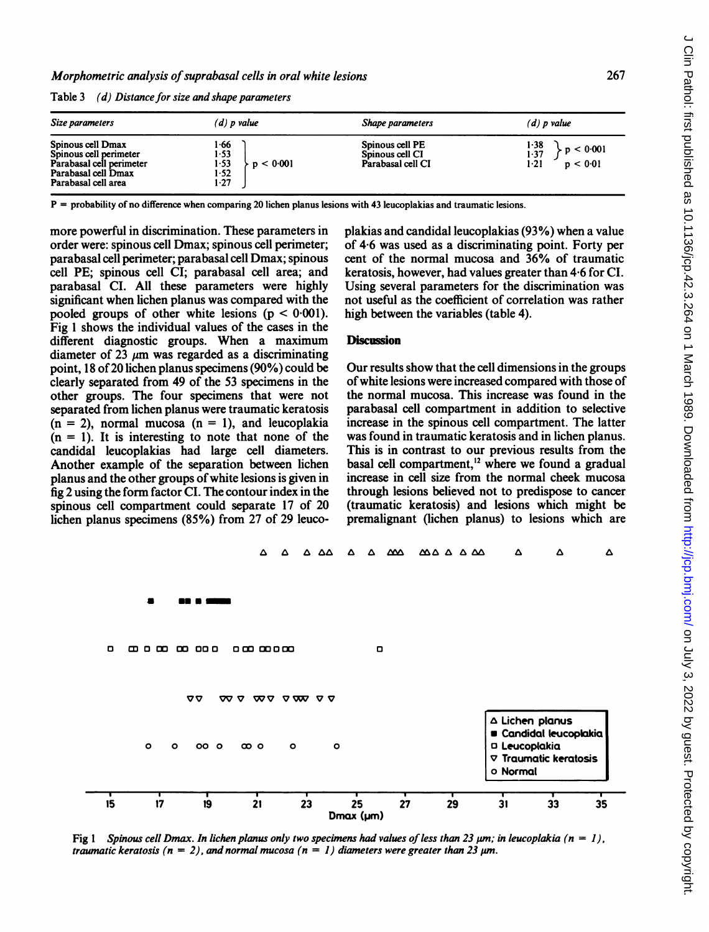Table 3 (d) Distance for size and shape parameters

| Size parameters                                                                                                       | $(d)$ p value                                         | Shape parameters                                        | $(d)$ p value                                   |  |
|-----------------------------------------------------------------------------------------------------------------------|-------------------------------------------------------|---------------------------------------------------------|-------------------------------------------------|--|
| Spinous cell Dmax<br>Spinous cell perimeter<br>Parabasal cell perimeter<br>Parabasal cell Dmax<br>Parabasal cell area | 1.66<br>$1-53$<br>1.53<br>< 0.001<br>1.52<br>$1 - 27$ | Spinous cell PE<br>Spinous cell CI<br>Parabasal cell CI | 1-38<br>p < 0.001<br>1.37<br>$1-21$<br>p < 0.01 |  |

P = probability of no difference when comparing 20 lichen planus lesions with 43 leucoplakias and traumatic lesions.

more powerful in discrimination. These parameters in order were: spinous cell Dmax; spinous cell perimeter; parabasal cell perimeter; parabasal cell Dmax; spinous cell PE; spinous cell CI; parabasal cell area; and parabasal CI. All these parameters were highly significant when lichen planus was compared with the pooled groups of other white lesions  $(p < 0.001)$ . Fig <sup>1</sup> shows the individual values of the cases in the different diagnostic groups. When a maximum diameter of  $23 \mu m$  was regarded as a discriminating point, 18 of 20 lichen planus specimens (90%) could be clearly separated from 49 of the 53 specimens in the other groups. The four specimens that were not separated from lichen planus were traumatic keratosis  $(n = 2)$ , normal mucosa  $(n = 1)$ , and leucoplakia  $(n = 1)$ . It is interesting to note that none of the candidal leucoplakias had large cell diameters. Another example of the separation between lichen planus and the other groups ofwhite lesions is given in fig 2 using the form factor CI. The contour index in the spinous cell compartment could separate 17 of 20 lichen planus specimens (85%) from 27 of 29 leucoplakias and candidal leucoplakias (93%) when a value of 4-6 was used as a discriminating point. Forty per cent of the normal mucosa and 36% of traumatic keratosis, however, had values greater than 4-6 for CI. Using several parameters for the discrimination was not useful as the coefficient of correlation was rather high between the variables (table 4).

## **Discussion**

Our results show that the cell dimensions in the groups ofwhite lesions were increased compared with those of the normal mucosa. This increase was found in the parabasal cell compartment in addition to selective increase in the spinous cell compartment. The latter was found in traumatic keratosis and in lichen planus. This is in contrast to our previous results from the basal cell compartment,<sup>12</sup> where we found a gradual increase in cell size from the normal cheek mucosa through lesions believed not to predispose to cancer (traumatic keratosis) and lesions which might be premalignant (lichen planus) to lesions which are



Fig 1 Spinous cell Dmax. In lichen planus only two specimens had values of less than 23  $\mu$ m; in leucoplakia (n = 1), traumatic keratosis ( $n = 2$ ), and normal mucosa ( $n = 1$ ) diameters were greater than 23  $\mu$ m.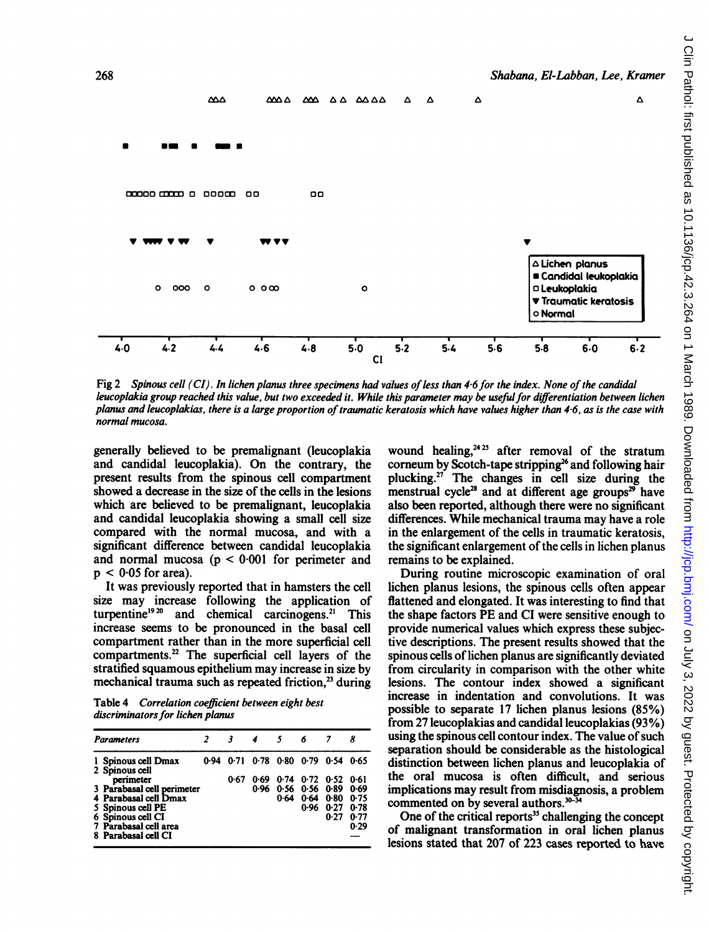

Fig 2 Spinous cell (CI). In lichen planus three specimens had values of less than 4.6 for the index. None of the candidal leucoplakia group reached this value, but two exceeded it. While this parameter may be usefulfor differentiation between lichen planus and leucoplakias, there is a large proportion of traumatic keratosis which have values higher than 4-6, as is the case with normal mucosa.

generally believed to be premalignant (leucoplakia and candidal leucoplakia). On the contrary, the present results from the spinous cell compartment showed a decrease in the size of the cells in the lesions which are believed to be premalignant, leucoplakia and candidal leucoplakia showing a small cell size compared with the normal mucosa, and with a significant difference between candidal leucoplakia and normal mucosa ( $p < 0.001$  for perimeter and  $p < 0.05$  for area).

It was previously reported that in hamsters the cell size may increase following the application of turpentine<sup>1920</sup> and chemical carcinogens.<sup>21</sup> This increase seems to be pronounced in the basal cell compartment rather than in the more superficial cell compartments.22 The superficial cell layers of the stratified squamous epithelium may increase in size by mechanical trauma such as repeated friction.<sup>23</sup> during

Table 4 Correlation coefficient between eight best discriminators for lichen planus

| <b>Parameters</b>                                   |      |      | 5    | 6                                  |               | 8            |
|-----------------------------------------------------|------|------|------|------------------------------------|---------------|--------------|
| 1 Spinous cell Dmax<br>2 Spinous cell               |      |      |      | 0.94 0.71 0.78 0.80 0.79 0.54 0.65 |               |              |
| perimeter                                           | 0.67 | 0.69 |      | $0.74$ $0.72$ $0.52$               |               | 0.61         |
| 3 Parabasal cell perimeter<br>4 Parabasal cell Dmax |      | 0.96 | 0.64 | $0.56$ $0.56$ $0.89$               | $0.64$ $0.80$ | 0.69<br>0.75 |
| 5 Spinous cell PE                                   |      |      |      |                                    | $0.96$ $0.27$ | 0.78         |
| 6 Spinous cell CI<br>7 Parabasal cell area          |      |      |      |                                    | 0.27          | 0.77<br>0.29 |
| 8 Parabasal cell CI                                 |      |      |      |                                    |               |              |

wound healing, $2425$  after removal of the stratum corneum by Scotch-tape stripping<sup>26</sup> and following hair plucking.27 The changes in cell size during the menstrual cycle<sup>28</sup> and at different age groups<sup>29</sup> have also been reported, although there were no significant differences. While mechanical trauma may have a role in the enlargement of the cells in traumatic keratosis, the significant enlargement of the cells in lichen planus remains to be explained.

Shabana, El-Labban, Lee, Kramer

During routine microscopic examination of oral lichen planus lesions, the spinous cells often appear flattened and elongated. It was interesting to find that the shape factors PE and CI were sensitive enough to provide numerical values which express these subjective descriptions. The present results showed that the spinous cells of lichen planus are significantly deviated from circularity in comparison with the other white lesions. The contour index showed a significant increase in indentation and convolutions. It was possible to separate 17 lichen planus lesions (85%) from 27 leucoplakias and candidal leucoplakias (93%) using the spinous cell contour index. The value of such separation should be considerable as the histological distinction between lichen planus and leucoplakia of the oral mucosa is often difficult, and serious implications may result from misdiagnosis, a problem commented on by several authors. $30-34$ 

One of the critical reports<sup>35</sup> challenging the concept of malignant transformation in oral lichen planus lesions stated that 207 of 223 cases reported to have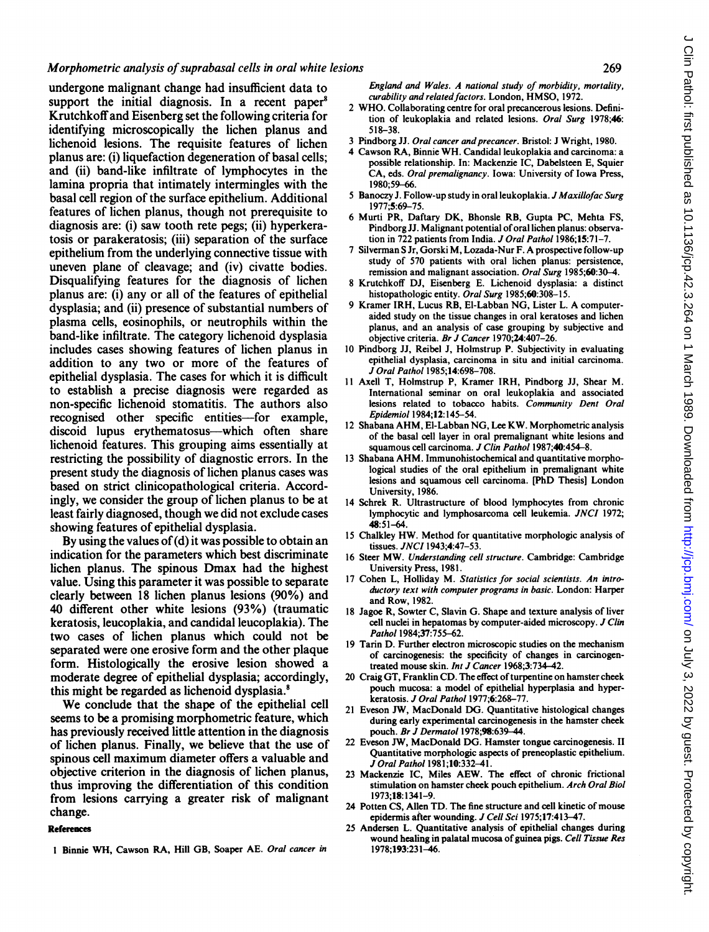undergone malignant change had insufficient data to support the initial diagnosis. In a recent paper<sup>8</sup> Krutchkoffand Eisenberg set the following criteria for identifying microscopically the lichen planus and lichenoid lesions. The requisite features of lichen planus are: (i) liquefaction degeneration of basal cells; and (ii) band-like infiltrate of lymphocytes in the lamina propria that intimately intermingles with the basal cell region of the surface epithelium. Additional features of lichen planus, though not prerequisite to diagnosis are: (i) saw tooth rete pegs; (ii) hyperkeratosis or parakeratosis; (iii) separation of the surface epithelium from the underlying connective tissue with uneven plane of cleavage; and (iv) civatte bodies. Disqualifying features for the diagnosis of lichen planus are: (i) any or all of the features of epithelial dysplasia; and (ii) presence of substantial numbers of plasma cells, eosinophils, or neutrophils within the band-like infiltrate. The category lichenoid dysplasia includes cases showing features of lichen planus in addition to any two or more of the features of epithelial dysplasia. The cases for which it is difficult to establish a precise diagnosis were regarded as non-specific lichenoid stomatitis. The authors also recognised other specific entities-for example, discoid lupus erythematosus—which often share lichenoid features. This grouping aims essentially at restricting the possibility of diagnostic errors. In the present study the diagnosis of lichen planus cases was based on strict clinicopathological criteria. Accordingly, we consider the group of lichen planus to be at least fairly diagnosed, though we did not exclude cases showing features of epithelial dysplasia.

By using the values of  $(d)$  it was possible to obtain an indication for the parameters which best discriminate lichen planus. The spinous Dmax had the highest value. Using this parameter it was possible to separate clearly between 18 lichen planus lesions (90%) and 40 different other white lesions (93%) (traumatic keratosis, leucoplakia, and candidal leucoplakia). The two cases of lichen planus which could not be separated were one erosive form and the other plaque form. Histologically the erosive lesion showed a moderate degree of epithelial dysplasia; accordingly, this might be regarded as lichenoid dysplasia.<sup>8</sup>

We conclude that the shape of the epithelial cell seems to be a promising morphometric feature, which has previously received little attention in the diagnosis of lichen planus. Finally, we believe that the use of spinous cell maximum diameter offers a valuable and objective criterion in the diagnosis of lichen planus, thus improving the differentiation of this condition from lesions carrying a greater risk of malignant change.

#### **References**

<sup>I</sup> Binnie WH, Cawson RA, Hill GB, Soaper AE. Oral cancer in

England and Wales. A national study of morbidity, mortality, curability and related factors. London, HMSO, 1972.

- <sup>2</sup> WHO. Collaborating centre for oral precancerous lesions. Definition of leukoplakia and related lesions. Oral Surg 1978;46: 518-38.
- 3 Pindborg JJ. Oral cancer and precancer. Bristol: J Wright, 1980.
- 4 Cawson RA, Binnie WH. Candidal leukoplakia and carcinoma: <sup>a</sup> possible relationship. In: Mackenzie IC, Dabelsteen E, Squier CA, eds. Oral premalignancy. Iowa: University of Iowa Press, 1980;59-66.
- 5 Banoczy J. Follow-up study in oral leukoplakia. J Maxillofac Surg 1977;5:69-75.
- 6 Murti PR, Daftary DK, Bhonsle RB, Gupta PC, Mehta FS, Pindborg JJ. Malignant potential of oral lichen planus: observation in 722 patients from India. J Oral Pathol 1986;15:71-7.
- <sup>7</sup> Silverman <sup>S</sup> Jr, Gorski M, Lozada-Nur F. A prospective follow-up study of 570 patients with oral lichen planus: persistence, remission and malignant association. Oral Surg 1985;60:30-4.
- 8 Krutchkoff DJ, Eisenberg E. Lichenoid dysplasia: a distinct histopathologic entity. Oral Surg 1985;60:308-15.
- <sup>9</sup> Kramer IRH, Lucus RB, El-Labban NG, Lister L. A computeraided study on the tissue changes in oral keratoses and lichen planus, and an analysis of case grouping by subjective and objective criteria. Br J Cancer 1970;24:407-26.
- 10 Pindborg JJ, Reibel J, Holmstrup P. Subjectivity in evaluating epithelial dysplasia, carcinoma in situ and initial carcinoma. J Oral Pathol 1985;14:698-708.
- <sup>11</sup> Axel! T, Holmstrup P, Kramer IRH, Pindborg JJ, Shear M. International seminar on oral leukoplakia and associated lesions related to tobacco habits. Community Dent Oral Epidemiol 1984;12:145-54.
- <sup>12</sup> Shabana AHM, El-Labban NG, Lee KW. Morphometric analysis of the basal cell layer in oral premalignant white lesions and squamous cell carcinoma. J Clin Pathol 1987;40:454-8.
- <sup>13</sup> Shabana AHM. Immunohistochemical and quantitative morphological studies of the oral epithelium in premalignant white lesions and squamous cell carcinoma. [PhD Thesis] London University, 1986.
- 14 Schrek R. Ultrastructure of blood lymphocytes from chronic lymphocytic and lymphosarcoma cell leukemia. JNCI 1972; 48:51-64.
- <sup>15</sup> Chalkley HW. Method for quantitative morphologic analysis of tissues. JNCI 1943;4:47-53.
- <sup>16</sup> Steer MW. Understanding cell structure. Cambridge: Cambridge University Press, 1981.
- 17 Cohen L. Holliday M. Statistics for social scientists. An introductory text with computer programs in basic. London: Harper and Row, 1982.
- 18 Jagoe R, Sowter C, Slavin G. Shape and texture analysis of liver cell nuclei in hepatomas by computer-aided microscopy. J Clin Pathol 1984;37:755-62.
- 19 Tarin D. Further electron microscopic studies on the mechanism of carcinogenesis: the specificity of changes in carcinogentreated mouse skin. Int J Cancer 1968;3:734-42.
- 20 Craig GT, Franklin CD. The effect of turpentine on hamster cheek pouch mucosa: a model of epithelial hyperplasia and hyperkeratosis. J Oral Pathol 1977;6:268-77.
- <sup>21</sup> Eveson JW, MacDonald DG. Quantitative histological changes during early experimental carcinogenesis in the hamster cheek pouch. Br J Dermatol 1978:98:639-44.
- 22 Eveson JW, MacDonald DG. Hamster tongue carcinogenesis. II Quantitative morphologic aspects of preneoplastic epithelium. J Oral Pathol 1981;10:332-41.
- <sup>23</sup> Mackenzie IC, Miles AEW. The effect of chronic frictional stimulation on hamster cheek pouch epithelium. Arch Oral Biol 1973;18:1341-9.
- 24 Potten CS, Allen TD. The fine structure and cell kinetic of mouse epidermis after wounding. J Cell Sci 1975;17:413-47.
- 25 Andersen L. Quantitative analysis of epithelial changes during wound healing in palatal mucosa of guinea pigs. Cell Tissue Res 1978;193:231-46.